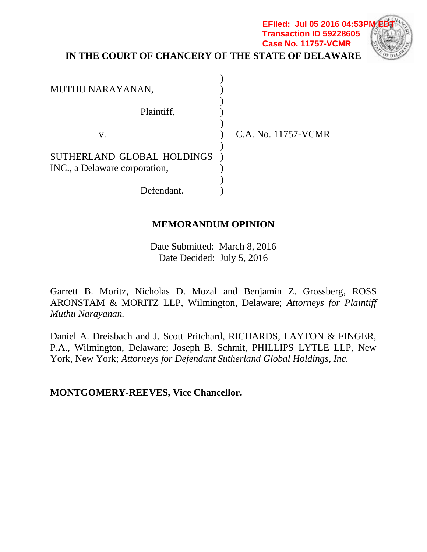### **IN THE COURT OF CHANCERY OF THE STATE OF DELAWARE EFiled: Jul 05 2016 04:53P Transaction ID 59228605 Case No. 11757-VCMR**

| MUTHU NARAYANAN,                                            |                     |
|-------------------------------------------------------------|---------------------|
| Plaintiff,                                                  |                     |
| V.                                                          | C.A. No. 11757-VCMR |
| SUTHERLAND GLOBAL HOLDINGS<br>INC., a Delaware corporation, |                     |
| Defendant.                                                  |                     |

## **MEMORANDUM OPINION**

Date Submitted: March 8, 2016 Date Decided: July 5, 2016

Garrett B. Moritz, Nicholas D. Mozal and Benjamin Z. Grossberg, ROSS ARONSTAM & MORITZ LLP, Wilmington, Delaware; *Attorneys for Plaintiff Muthu Narayanan.*

Daniel A. Dreisbach and J. Scott Pritchard, RICHARDS, LAYTON & FINGER, P.A., Wilmington, Delaware; Joseph B. Schmit, PHILLIPS LYTLE LLP, New York, New York; *Attorneys for Defendant Sutherland Global Holdings, Inc.*

**MONTGOMERY-REEVES, Vice Chancellor.**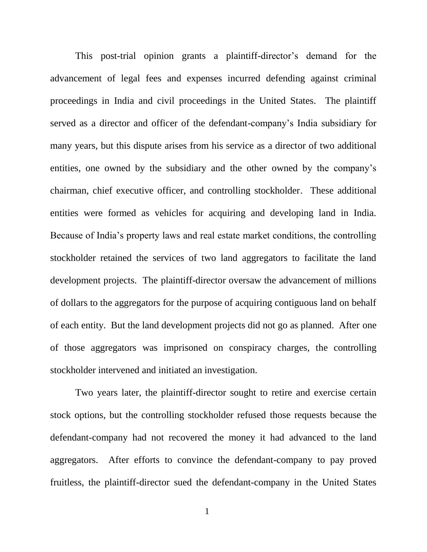This post-trial opinion grants a plaintiff-director's demand for the advancement of legal fees and expenses incurred defending against criminal proceedings in India and civil proceedings in the United States. The plaintiff served as a director and officer of the defendant-company's India subsidiary for many years, but this dispute arises from his service as a director of two additional entities, one owned by the subsidiary and the other owned by the company's chairman, chief executive officer, and controlling stockholder. These additional entities were formed as vehicles for acquiring and developing land in India. Because of India's property laws and real estate market conditions, the controlling stockholder retained the services of two land aggregators to facilitate the land development projects. The plaintiff-director oversaw the advancement of millions of dollars to the aggregators for the purpose of acquiring contiguous land on behalf of each entity. But the land development projects did not go as planned. After one of those aggregators was imprisoned on conspiracy charges, the controlling stockholder intervened and initiated an investigation.

Two years later, the plaintiff-director sought to retire and exercise certain stock options, but the controlling stockholder refused those requests because the defendant-company had not recovered the money it had advanced to the land aggregators. After efforts to convince the defendant-company to pay proved fruitless, the plaintiff-director sued the defendant-company in the United States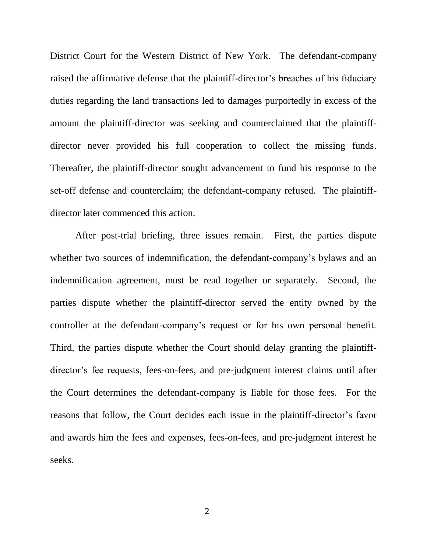District Court for the Western District of New York. The defendant-company raised the affirmative defense that the plaintiff-director's breaches of his fiduciary duties regarding the land transactions led to damages purportedly in excess of the amount the plaintiff-director was seeking and counterclaimed that the plaintiffdirector never provided his full cooperation to collect the missing funds. Thereafter, the plaintiff-director sought advancement to fund his response to the set-off defense and counterclaim; the defendant-company refused. The plaintiffdirector later commenced this action.

After post-trial briefing, three issues remain. First, the parties dispute whether two sources of indemnification, the defendant-company's bylaws and an indemnification agreement, must be read together or separately. Second, the parties dispute whether the plaintiff-director served the entity owned by the controller at the defendant-company's request or for his own personal benefit. Third, the parties dispute whether the Court should delay granting the plaintiffdirector's fee requests, fees-on-fees, and pre-judgment interest claims until after the Court determines the defendant-company is liable for those fees. For the reasons that follow, the Court decides each issue in the plaintiff-director's favor and awards him the fees and expenses, fees-on-fees, and pre-judgment interest he seeks.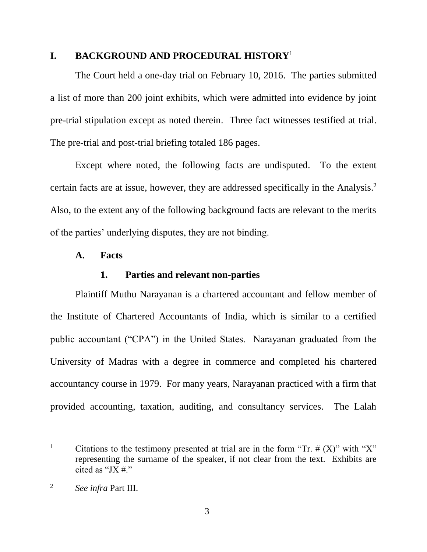### **I. BACKGROUND AND PROCEDURAL HISTORY**<sup>1</sup>

The Court held a one-day trial on February 10, 2016. The parties submitted a list of more than 200 joint exhibits, which were admitted into evidence by joint pre-trial stipulation except as noted therein. Three fact witnesses testified at trial. The pre-trial and post-trial briefing totaled 186 pages.

Except where noted, the following facts are undisputed. To the extent certain facts are at issue, however, they are addressed specifically in the Analysis.<sup>2</sup> Also, to the extent any of the following background facts are relevant to the merits of the parties' underlying disputes, they are not binding.

### **A. Facts**

### **1. Parties and relevant non-parties**

Plaintiff Muthu Narayanan is a chartered accountant and fellow member of the Institute of Chartered Accountants of India, which is similar to a certified public accountant ("CPA") in the United States. Narayanan graduated from the University of Madras with a degree in commerce and completed his chartered accountancy course in 1979. For many years, Narayanan practiced with a firm that provided accounting, taxation, auditing, and consultancy services. The Lalah

<sup>&</sup>lt;sup>1</sup> Citations to the testimony presented at trial are in the form "Tr.  $# (X)$ " with "X" representing the surname of the speaker, if not clear from the text. Exhibits are cited as "JX $#$ ."

<sup>2</sup> *See infra* Part III.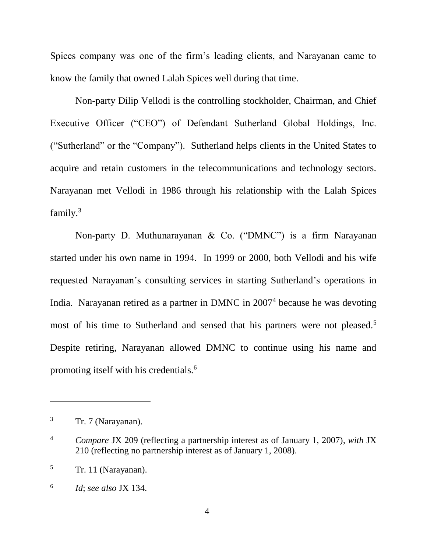Spices company was one of the firm's leading clients, and Narayanan came to know the family that owned Lalah Spices well during that time.

Non-party Dilip Vellodi is the controlling stockholder, Chairman, and Chief Executive Officer ("CEO") of Defendant Sutherland Global Holdings, Inc. ("Sutherland" or the "Company"). Sutherland helps clients in the United States to acquire and retain customers in the telecommunications and technology sectors. Narayanan met Vellodi in 1986 through his relationship with the Lalah Spices family.<sup>3</sup>

Non-party D. Muthunarayanan & Co. ("DMNC") is a firm Narayanan started under his own name in 1994. In 1999 or 2000, both Vellodi and his wife requested Narayanan's consulting services in starting Sutherland's operations in India. Narayanan retired as a partner in DMNC in 2007<sup>4</sup> because he was devoting most of his time to Sutherland and sensed that his partners were not pleased.<sup>5</sup> Despite retiring, Narayanan allowed DMNC to continue using his name and promoting itself with his credentials.<sup>6</sup>

 $3 \text{ Tr. } 7 \text{ (Narayanan)}$ .

<sup>4</sup> *Compare* JX 209 (reflecting a partnership interest as of January 1, 2007), *with* JX 210 (reflecting no partnership interest as of January 1, 2008).

 $\frac{5}{\pi}$  Tr. 11 (Narayanan).

<sup>6</sup> *Id*; *see also* JX 134.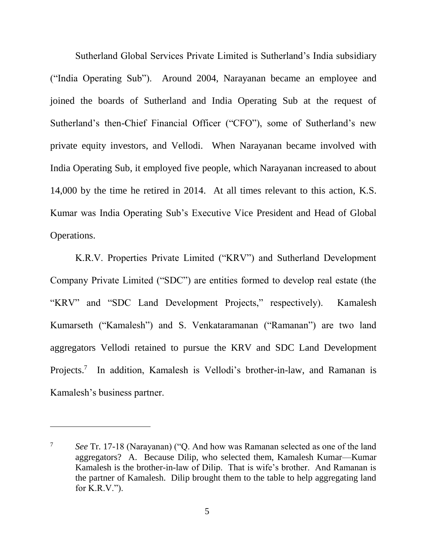Sutherland Global Services Private Limited is Sutherland's India subsidiary ("India Operating Sub"). Around 2004, Narayanan became an employee and joined the boards of Sutherland and India Operating Sub at the request of Sutherland's then-Chief Financial Officer ("CFO"), some of Sutherland's new private equity investors, and Vellodi. When Narayanan became involved with India Operating Sub, it employed five people, which Narayanan increased to about 14,000 by the time he retired in 2014. At all times relevant to this action, K.S. Kumar was India Operating Sub's Executive Vice President and Head of Global Operations.

K.R.V. Properties Private Limited ("KRV") and Sutherland Development Company Private Limited ("SDC") are entities formed to develop real estate (the "KRV" and "SDC Land Development Projects," respectively). Kamalesh Kumarseth ("Kamalesh") and S. Venkataramanan ("Ramanan") are two land aggregators Vellodi retained to pursue the KRV and SDC Land Development Projects.<sup>7</sup> In addition, Kamalesh is Vellodi's brother-in-law, and Ramanan is Kamalesh's business partner.

<sup>7</sup> *See* Tr. 17-18 (Narayanan) ("Q. And how was Ramanan selected as one of the land aggregators? A. Because Dilip, who selected them, Kamalesh Kumar—Kumar Kamalesh is the brother-in-law of Dilip. That is wife's brother. And Ramanan is the partner of Kamalesh. Dilip brought them to the table to help aggregating land for K.R.V.").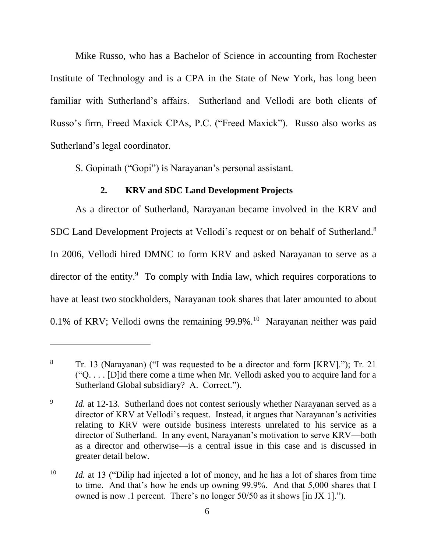Mike Russo, who has a Bachelor of Science in accounting from Rochester Institute of Technology and is a CPA in the State of New York, has long been familiar with Sutherland's affairs. Sutherland and Vellodi are both clients of Russo's firm, Freed Maxick CPAs, P.C. ("Freed Maxick"). Russo also works as Sutherland's legal coordinator.

S. Gopinath ("Gopi") is Narayanan's personal assistant.

# **2. KRV and SDC Land Development Projects**

As a director of Sutherland, Narayanan became involved in the KRV and SDC Land Development Projects at Vellodi's request or on behalf of Sutherland.<sup>8</sup> In 2006, Vellodi hired DMNC to form KRV and asked Narayanan to serve as a director of the entity.<sup>9</sup> To comply with India law, which requires corporations to have at least two stockholders, Narayanan took shares that later amounted to about 0.1% of KRV; Vellodi owns the remaining 99.9%.<sup>10</sup> Narayanan neither was paid

<sup>8</sup> Tr. 13 (Narayanan) ("I was requested to be a director and form [KRV]."); Tr. 21 ("Q. . . . [D]id there come a time when Mr. Vellodi asked you to acquire land for a Sutherland Global subsidiary? A. Correct.").

<sup>9</sup> *Id.* at 12-13. Sutherland does not contest seriously whether Narayanan served as a director of KRV at Vellodi's request. Instead, it argues that Narayanan's activities relating to KRV were outside business interests unrelated to his service as a director of Sutherland. In any event, Narayanan's motivation to serve KRV—both as a director and otherwise—is a central issue in this case and is discussed in greater detail below.

<sup>&</sup>lt;sup>10</sup> *Id.* at 13 ("Dilip had injected a lot of money, and he has a lot of shares from time to time. And that's how he ends up owning 99.9%. And that 5,000 shares that I owned is now .1 percent. There's no longer 50/50 as it shows [in JX 1].").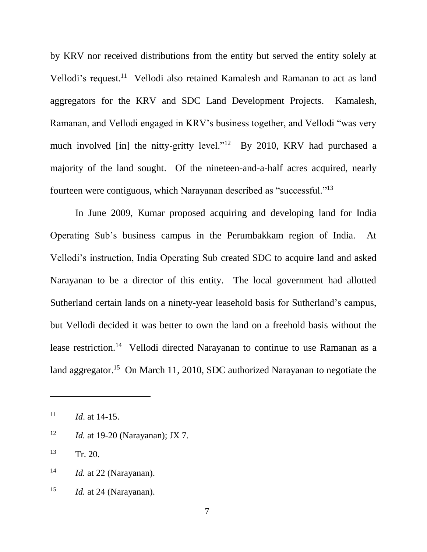by KRV nor received distributions from the entity but served the entity solely at Vellodi's request.<sup>11</sup> Vellodi also retained Kamalesh and Ramanan to act as land aggregators for the KRV and SDC Land Development Projects. Kamalesh, Ramanan, and Vellodi engaged in KRV's business together, and Vellodi "was very much involved [in] the nitty-gritty level."<sup>12</sup> By 2010, KRV had purchased a majority of the land sought. Of the nineteen-and-a-half acres acquired, nearly fourteen were contiguous, which Narayanan described as "successful."<sup>13</sup>

In June 2009, Kumar proposed acquiring and developing land for India Operating Sub's business campus in the Perumbakkam region of India. At Vellodi's instruction, India Operating Sub created SDC to acquire land and asked Narayanan to be a director of this entity. The local government had allotted Sutherland certain lands on a ninety-year leasehold basis for Sutherland's campus, but Vellodi decided it was better to own the land on a freehold basis without the lease restriction.<sup>14</sup> Vellodi directed Narayanan to continue to use Ramanan as a land aggregator.<sup>15</sup> On March 11, 2010, SDC authorized Narayanan to negotiate the

<sup>12</sup> *Id.* at 19-20 (Narayanan); JX 7.

<sup>13</sup> Tr. 20.

<sup>15</sup> *Id.* at 24 (Narayanan).

<sup>11</sup> *Id*. at 14-15.

<sup>14</sup> *Id.* at 22 (Narayanan).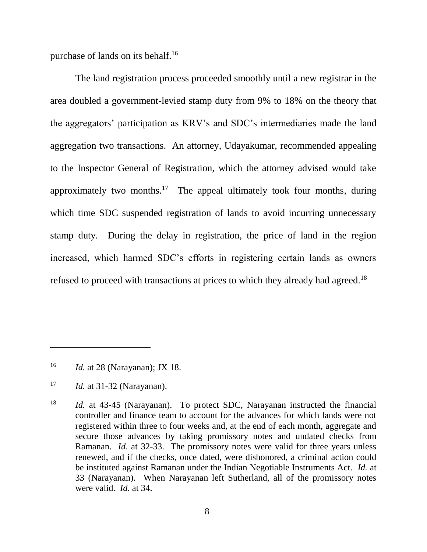purchase of lands on its behalf.<sup>16</sup>

The land registration process proceeded smoothly until a new registrar in the area doubled a government-levied stamp duty from 9% to 18% on the theory that the aggregators' participation as KRV's and SDC's intermediaries made the land aggregation two transactions. An attorney, Udayakumar, recommended appealing to the Inspector General of Registration, which the attorney advised would take approximately two months.<sup>17</sup> The appeal ultimately took four months, during which time SDC suspended registration of lands to avoid incurring unnecessary stamp duty. During the delay in registration, the price of land in the region increased, which harmed SDC's efforts in registering certain lands as owners refused to proceed with transactions at prices to which they already had agreed.<sup>18</sup>

<sup>16</sup> *Id.* at 28 (Narayanan); JX 18.

<sup>17</sup> *Id.* at 31-32 (Narayanan).

<sup>18</sup> *Id.* at 43-45 (Narayanan). To protect SDC, Narayanan instructed the financial controller and finance team to account for the advances for which lands were not registered within three to four weeks and, at the end of each month, aggregate and secure those advances by taking promissory notes and undated checks from Ramanan. *Id*. at 32-33. The promissory notes were valid for three years unless renewed, and if the checks, once dated, were dishonored, a criminal action could be instituted against Ramanan under the Indian Negotiable Instruments Act. *Id.* at 33 (Narayanan). When Narayanan left Sutherland, all of the promissory notes were valid. *Id.* at 34.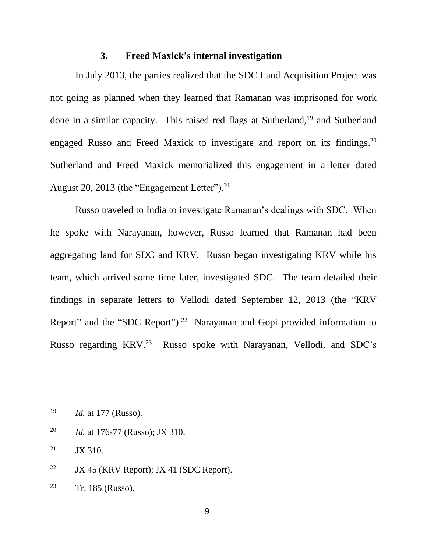### **3. Freed Maxick's internal investigation**

In July 2013, the parties realized that the SDC Land Acquisition Project was not going as planned when they learned that Ramanan was imprisoned for work done in a similar capacity. This raised red flags at Sutherland,<sup>19</sup> and Sutherland engaged Russo and Freed Maxick to investigate and report on its findings.<sup>20</sup> Sutherland and Freed Maxick memorialized this engagement in a letter dated August 20, 2013 (the "Engagement Letter").<sup>21</sup>

Russo traveled to India to investigate Ramanan's dealings with SDC. When he spoke with Narayanan, however, Russo learned that Ramanan had been aggregating land for SDC and KRV. Russo began investigating KRV while his team, which arrived some time later, investigated SDC. The team detailed their findings in separate letters to Vellodi dated September 12, 2013 (the "KRV Report" and the "SDC Report").<sup>22</sup> Narayanan and Gopi provided information to Russo regarding KRV. <sup>23</sup> Russo spoke with Narayanan, Vellodi, and SDC's

<sup>20</sup> *Id.* at 176-77 (Russo); JX 310.

 $21$  JX 310.

<sup>22</sup> JX 45 (KRV Report); JX 41 (SDC Report).

<sup>23</sup> Tr. 185 (Russo).

<sup>19</sup> *Id.* at 177 (Russo).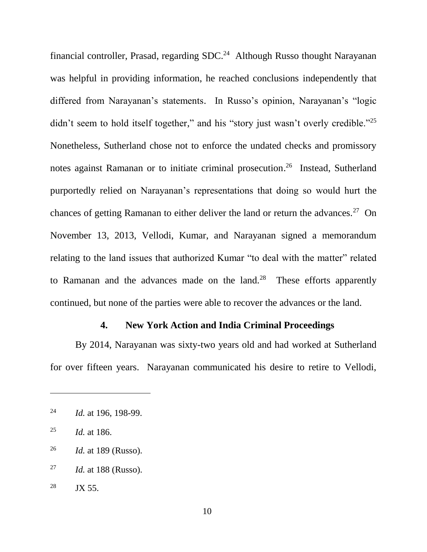financial controller, Prasad, regarding SDC.<sup>24</sup> Although Russo thought Narayanan was helpful in providing information, he reached conclusions independently that differed from Narayanan's statements. In Russo's opinion, Narayanan's "logic didn't seem to hold itself together," and his "story just wasn't overly credible."<sup>25</sup> Nonetheless, Sutherland chose not to enforce the undated checks and promissory notes against Ramanan or to initiate criminal prosecution. <sup>26</sup> Instead, Sutherland purportedly relied on Narayanan's representations that doing so would hurt the chances of getting Ramanan to either deliver the land or return the advances.<sup>27</sup> On November 13, 2013, Vellodi, Kumar, and Narayanan signed a memorandum relating to the land issues that authorized Kumar "to deal with the matter" related to Ramanan and the advances made on the  $land.^{28}$  These efforts apparently continued, but none of the parties were able to recover the advances or the land.

### **4. New York Action and India Criminal Proceedings**

By 2014, Narayanan was sixty-two years old and had worked at Sutherland for over fifteen years. Narayanan communicated his desire to retire to Vellodi,

<sup>24</sup> *Id.* at 196, 198-99.

<sup>25</sup> *Id.* at 186.

<sup>26</sup> *Id.* at 189 (Russo).

<sup>27</sup> *Id.* at 188 (Russo).

<sup>&</sup>lt;sup>28</sup> JX 55.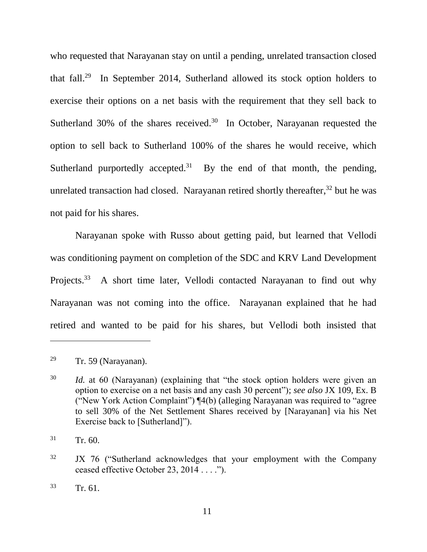who requested that Narayanan stay on until a pending, unrelated transaction closed that fall. 29 In September 2014, Sutherland allowed its stock option holders to exercise their options on a net basis with the requirement that they sell back to Sutherland 30% of the shares received.<sup>30</sup> In October, Narayanan requested the option to sell back to Sutherland 100% of the shares he would receive, which Sutherland purportedly accepted.<sup>31</sup> By the end of that month, the pending, unrelated transaction had closed. Narayanan retired shortly thereafter, <sup>32</sup> but he was not paid for his shares.

Narayanan spoke with Russo about getting paid, but learned that Vellodi was conditioning payment on completion of the SDC and KRV Land Development Projects.<sup>33</sup> A short time later, Vellodi contacted Narayanan to find out why Narayanan was not coming into the office. Narayanan explained that he had retired and wanted to be paid for his shares, but Vellodi both insisted that

<sup>&</sup>lt;sup>29</sup> Tr. 59 (Narayanan).

<sup>30</sup> *Id.* at 60 (Narayanan) (explaining that "the stock option holders were given an option to exercise on a net basis and any cash 30 percent"); *see also* JX 109, Ex. B ("New York Action Complaint") ¶4(b) (alleging Narayanan was required to "agree to sell 30% of the Net Settlement Shares received by [Narayanan] via his Net Exercise back to [Sutherland]").

 $31 \t Tr. 60.$ 

<sup>&</sup>lt;sup>32</sup> JX 76 ("Sutherland acknowledges that your employment with the Company ceased effective October 23, 2014 . . . .").

 $33 \text{ Tr. } 61.$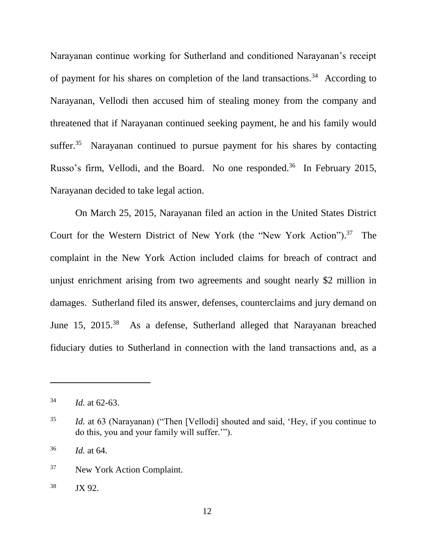Narayanan continue working for Sutherland and conditioned Narayanan's receipt of payment for his shares on completion of the land transactions.<sup>34</sup> According to Narayanan, Vellodi then accused him of stealing money from the company and threatened that if Narayanan continued seeking payment, he and his family would suffer.<sup>35</sup> Narayanan continued to pursue payment for his shares by contacting Russo's firm, Vellodi, and the Board. No one responded.<sup>36</sup> In February 2015, Narayanan decided to take legal action.

On March 25, 2015, Narayanan filed an action in the United States District Court for the Western District of New York (the "New York Action"). 37 The complaint in the New York Action included claims for breach of contract and unjust enrichment arising from two agreements and sought nearly \$2 million in damages. Sutherland filed its answer, defenses, counterclaims and jury demand on June 15, 2015.<sup>38</sup> As a defense, Sutherland alleged that Narayanan breached fiduciary duties to Sutherland in connection with the land transactions and, as a

<sup>36</sup> *Id.* at 64.

 $^{34}$  *Id.* at 62-63.

<sup>35</sup> *Id.* at 63 (Narayanan) ("Then [Vellodi] shouted and said, 'Hey, if you continue to do this, you and your family will suffer.'").

<sup>37</sup> New York Action Complaint.

<sup>38</sup> JX 92.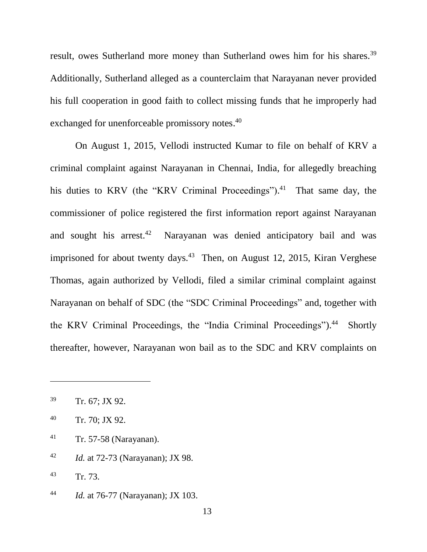result, owes Sutherland more money than Sutherland owes him for his shares.<sup>39</sup> Additionally, Sutherland alleged as a counterclaim that Narayanan never provided his full cooperation in good faith to collect missing funds that he improperly had exchanged for unenforceable promissory notes.<sup>40</sup>

On August 1, 2015, Vellodi instructed Kumar to file on behalf of KRV a criminal complaint against Narayanan in Chennai, India, for allegedly breaching his duties to KRV (the "KRV Criminal Proceedings").<sup>41</sup> That same day, the commissioner of police registered the first information report against Narayanan and sought his arrest. $42$  Narayanan was denied anticipatory bail and was imprisoned for about twenty days. $43$  Then, on August 12, 2015, Kiran Verghese Thomas, again authorized by Vellodi, filed a similar criminal complaint against Narayanan on behalf of SDC (the "SDC Criminal Proceedings" and, together with the KRV Criminal Proceedings, the "India Criminal Proceedings"). 44 Shortly thereafter, however, Narayanan won bail as to the SDC and KRV complaints on

- <sup>41</sup> Tr. 57-58 (Narayanan).
- <sup>42</sup> *Id.* at 72-73 (Narayanan); JX 98.
- <sup>43</sup> Tr. 73.
- <sup>44</sup> *Id.* at 76-77 (Narayanan); JX 103.

<sup>39</sup> Tr. 67; JX 92.

<sup>40</sup> Tr. 70; JX 92.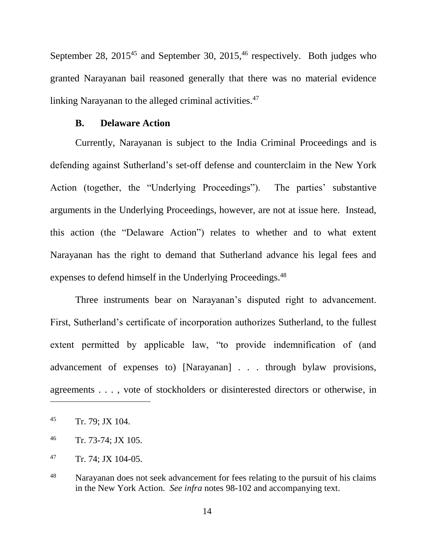September 28,  $2015^{45}$  and September 30,  $2015^{46}$  respectively. Both judges who granted Narayanan bail reasoned generally that there was no material evidence linking Narayanan to the alleged criminal activities.<sup>47</sup>

### **B. Delaware Action**

Currently, Narayanan is subject to the India Criminal Proceedings and is defending against Sutherland's set-off defense and counterclaim in the New York Action (together, the "Underlying Proceedings"). The parties' substantive arguments in the Underlying Proceedings, however, are not at issue here. Instead, this action (the "Delaware Action") relates to whether and to what extent Narayanan has the right to demand that Sutherland advance his legal fees and expenses to defend himself in the Underlying Proceedings.<sup>48</sup>

Three instruments bear on Narayanan's disputed right to advancement. First, Sutherland's certificate of incorporation authorizes Sutherland, to the fullest extent permitted by applicable law, "to provide indemnification of (and advancement of expenses to) [Narayanan] . . . through bylaw provisions, agreements . . . , vote of stockholders or disinterested directors or otherwise, in

<sup>45</sup> Tr. 79; JX 104.

<sup>46</sup> Tr. 73-74; JX 105.

<sup>47</sup> Tr. 74; JX 104-05.

<sup>&</sup>lt;sup>48</sup> Narayanan does not seek advancement for fees relating to the pursuit of his claims in the New York Action. *See infra* notes [98](#page-40-0)[-102](#page-41-0) and accompanying text.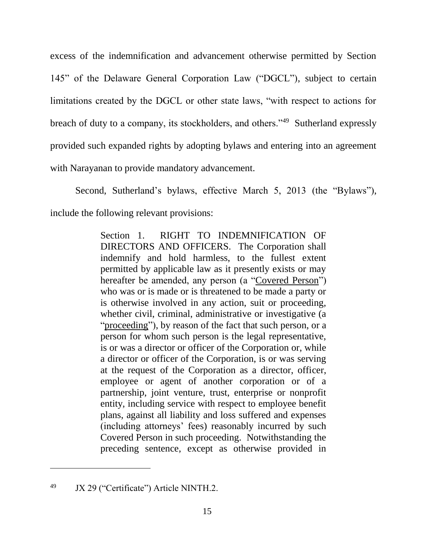excess of the indemnification and advancement otherwise permitted by Section 145" of the Delaware General Corporation Law ("DGCL"), subject to certain limitations created by the DGCL or other state laws, "with respect to actions for breach of duty to a company, its stockholders, and others."<sup>49</sup> Sutherland expressly provided such expanded rights by adopting bylaws and entering into an agreement with Narayanan to provide mandatory advancement.

Second, Sutherland's bylaws, effective March 5, 2013 (the "Bylaws"), include the following relevant provisions:

> Section 1. RIGHT TO INDEMNIFICATION OF DIRECTORS AND OFFICERS. The Corporation shall indemnify and hold harmless, to the fullest extent permitted by applicable law as it presently exists or may hereafter be amended, any person (a "Covered Person") who was or is made or is threatened to be made a party or is otherwise involved in any action, suit or proceeding, whether civil, criminal, administrative or investigative (a "proceeding"), by reason of the fact that such person, or a person for whom such person is the legal representative, is or was a director or officer of the Corporation or, while a director or officer of the Corporation, is or was serving at the request of the Corporation as a director, officer, employee or agent of another corporation or of a partnership, joint venture, trust, enterprise or nonprofit entity, including service with respect to employee benefit plans, against all liability and loss suffered and expenses (including attorneys' fees) reasonably incurred by such Covered Person in such proceeding. Notwithstanding the preceding sentence, except as otherwise provided in

<sup>49</sup> JX 29 ("Certificate") Article NINTH.2.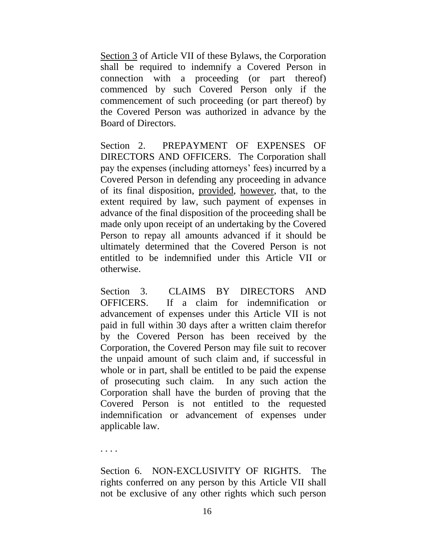Section 3 of Article VII of these Bylaws, the Corporation shall be required to indemnify a Covered Person in connection with a proceeding (or part thereof) commenced by such Covered Person only if the commencement of such proceeding (or part thereof) by the Covered Person was authorized in advance by the Board of Directors.

Section 2. PREPAYMENT OF EXPENSES OF DIRECTORS AND OFFICERS. The Corporation shall pay the expenses (including attorneys' fees) incurred by a Covered Person in defending any proceeding in advance of its final disposition, provided, however, that, to the extent required by law, such payment of expenses in advance of the final disposition of the proceeding shall be made only upon receipt of an undertaking by the Covered Person to repay all amounts advanced if it should be ultimately determined that the Covered Person is not entitled to be indemnified under this Article VII or otherwise.

Section 3. CLAIMS BY DIRECTORS AND OFFICERS. If a claim for indemnification or advancement of expenses under this Article VII is not paid in full within 30 days after a written claim therefor by the Covered Person has been received by the Corporation, the Covered Person may file suit to recover the unpaid amount of such claim and, if successful in whole or in part, shall be entitled to be paid the expense of prosecuting such claim. In any such action the Corporation shall have the burden of proving that the Covered Person is not entitled to the requested indemnification or advancement of expenses under applicable law.

. . . .

Section 6. NON-EXCLUSIVITY OF RIGHTS. The rights conferred on any person by this Article VII shall not be exclusive of any other rights which such person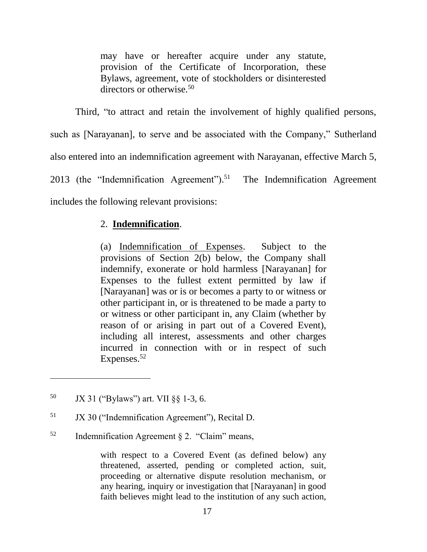may have or hereafter acquire under any statute, provision of the Certificate of Incorporation, these Bylaws, agreement, vote of stockholders or disinterested directors or otherwise.<sup>50</sup>

Third, "to attract and retain the involvement of highly qualified persons, such as [Narayanan], to serve and be associated with the Company," Sutherland also entered into an indemnification agreement with Narayanan, effective March 5, 2013 (the "Indemnification Agreement").<sup>51</sup> The Indemnification Agreement includes the following relevant provisions:

# 2. **Indemnification**.

(a) Indemnification of Expenses. Subject to the provisions of Section 2(b) below, the Company shall indemnify, exonerate or hold harmless [Narayanan] for Expenses to the fullest extent permitted by law if [Narayanan] was or is or becomes a party to or witness or other participant in, or is threatened to be made a party to or witness or other participant in, any Claim (whether by reason of or arising in part out of a Covered Event), including all interest, assessments and other charges incurred in connection with or in respect of such Expenses.<sup>52</sup>

 $\overline{a}$ 

- <sup>51</sup> JX 30 ("Indemnification Agreement"), Recital D.
- $52$  Indemnification Agreement § 2. "Claim" means,

with respect to a Covered Event (as defined below) any threatened, asserted, pending or completed action, suit, proceeding or alternative dispute resolution mechanism, or any hearing, inquiry or investigation that [Narayanan] in good faith believes might lead to the institution of any such action,

<sup>50</sup> JX 31 ("Bylaws") art. VII §§ 1-3, 6.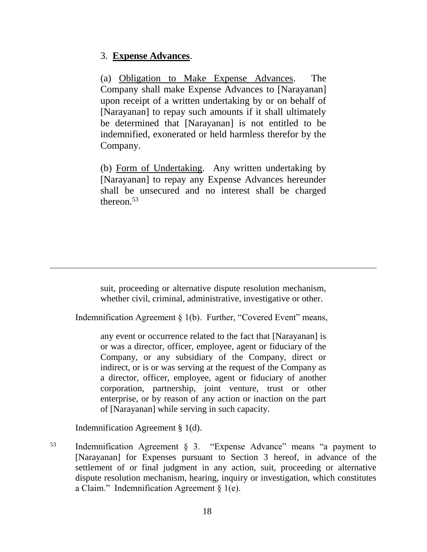# 3. **Expense Advances**.

(a) Obligation to Make Expense Advances. The Company shall make Expense Advances to [Narayanan] upon receipt of a written undertaking by or on behalf of [Narayanan] to repay such amounts if it shall ultimately be determined that [Narayanan] is not entitled to be indemnified, exonerated or held harmless therefor by the Company.

(b) Form of Undertaking. Any written undertaking by [Narayanan] to repay any Expense Advances hereunder shall be unsecured and no interest shall be charged thereon.<sup>53</sup>

suit, proceeding or alternative dispute resolution mechanism, whether civil, criminal, administrative, investigative or other.

Indemnification Agreement § 1(b). Further, "Covered Event" means,

any event or occurrence related to the fact that [Narayanan] is or was a director, officer, employee, agent or fiduciary of the Company, or any subsidiary of the Company, direct or indirect, or is or was serving at the request of the Company as a director, officer, employee, agent or fiduciary of another corporation, partnership, joint venture, trust or other enterprise, or by reason of any action or inaction on the part of [Narayanan] while serving in such capacity.

Indemnification Agreement § 1(d).

 $\overline{a}$ 

<sup>53</sup> Indemnification Agreement § 3. "Expense Advance" means "a payment to [Narayanan] for Expenses pursuant to Section 3 hereof, in advance of the settlement of or final judgment in any action, suit, proceeding or alternative dispute resolution mechanism, hearing, inquiry or investigation, which constitutes a Claim." Indemnification Agreement  $\S$  1(e).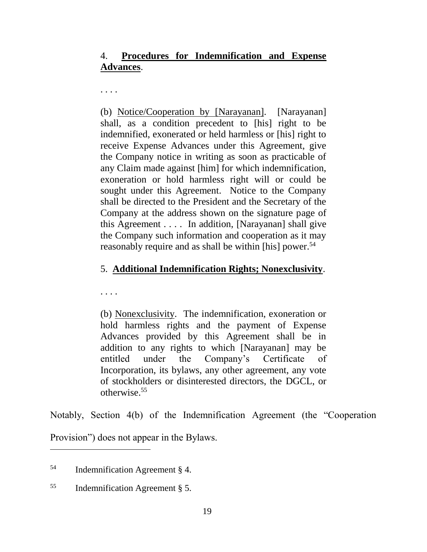# 4. **Procedures for Indemnification and Expense Advances**.

. . . .

(b) Notice/Cooperation by [Narayanan]. [Narayanan] shall, as a condition precedent to [his] right to be indemnified, exonerated or held harmless or [his] right to receive Expense Advances under this Agreement, give the Company notice in writing as soon as practicable of any Claim made against [him] for which indemnification, exoneration or hold harmless right will or could be sought under this Agreement. Notice to the Company shall be directed to the President and the Secretary of the Company at the address shown on the signature page of this Agreement . . . . In addition, [Narayanan] shall give the Company such information and cooperation as it may reasonably require and as shall be within [his] power.<sup>54</sup>

# 5. **Additional Indemnification Rights; Nonexclusivity**.

. . . .

(b) Nonexclusivity. The indemnification, exoneration or hold harmless rights and the payment of Expense Advances provided by this Agreement shall be in addition to any rights to which [Narayanan] may be entitled under the Company's Certificate of Incorporation, its bylaws, any other agreement, any vote of stockholders or disinterested directors, the DGCL, or otherwise.<sup>55</sup>

Notably, Section 4(b) of the Indemnification Agreement (the "Cooperation

Provision") does not appear in the Bylaws. 

<sup>54</sup> Indemnification Agreement § 4.

<sup>55</sup> Indemnification Agreement § 5.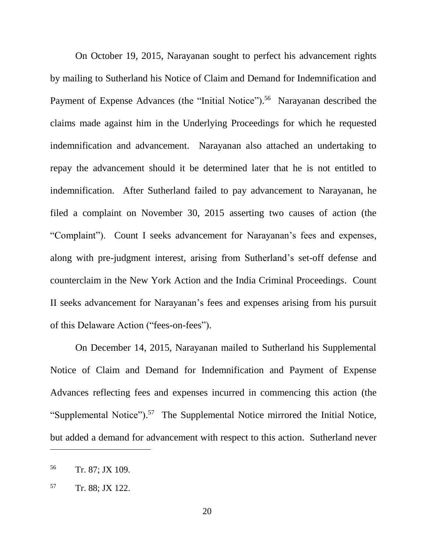On October 19, 2015, Narayanan sought to perfect his advancement rights by mailing to Sutherland his Notice of Claim and Demand for Indemnification and Payment of Expense Advances (the "Initial Notice").<sup>56</sup> Narayanan described the claims made against him in the Underlying Proceedings for which he requested indemnification and advancement. Narayanan also attached an undertaking to repay the advancement should it be determined later that he is not entitled to indemnification. After Sutherland failed to pay advancement to Narayanan, he filed a complaint on November 30, 2015 asserting two causes of action (the "Complaint"). Count I seeks advancement for Narayanan's fees and expenses, along with pre-judgment interest, arising from Sutherland's set-off defense and counterclaim in the New York Action and the India Criminal Proceedings. Count II seeks advancement for Narayanan's fees and expenses arising from his pursuit of this Delaware Action ("fees-on-fees").

On December 14, 2015, Narayanan mailed to Sutherland his Supplemental Notice of Claim and Demand for Indemnification and Payment of Expense Advances reflecting fees and expenses incurred in commencing this action (the "Supplemental Notice").<sup>57</sup> The Supplemental Notice mirrored the Initial Notice, but added a demand for advancement with respect to this action. Sutherland never

<sup>56</sup> Tr. 87; JX 109.

<sup>57</sup> Tr. 88; JX 122.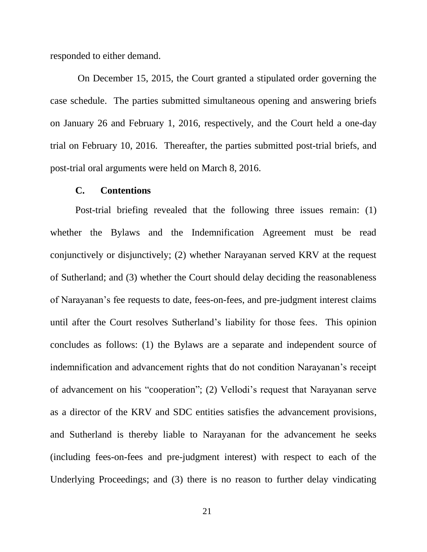responded to either demand.

On December 15, 2015, the Court granted a stipulated order governing the case schedule. The parties submitted simultaneous opening and answering briefs on January 26 and February 1, 2016, respectively, and the Court held a one-day trial on February 10, 2016. Thereafter, the parties submitted post-trial briefs, and post-trial oral arguments were held on March 8, 2016.

#### **C. Contentions**

Post-trial briefing revealed that the following three issues remain: (1) whether the Bylaws and the Indemnification Agreement must be read conjunctively or disjunctively; (2) whether Narayanan served KRV at the request of Sutherland; and (3) whether the Court should delay deciding the reasonableness of Narayanan's fee requests to date, fees-on-fees, and pre-judgment interest claims until after the Court resolves Sutherland's liability for those fees. This opinion concludes as follows: (1) the Bylaws are a separate and independent source of indemnification and advancement rights that do not condition Narayanan's receipt of advancement on his "cooperation"; (2) Vellodi's request that Narayanan serve as a director of the KRV and SDC entities satisfies the advancement provisions, and Sutherland is thereby liable to Narayanan for the advancement he seeks (including fees-on-fees and pre-judgment interest) with respect to each of the Underlying Proceedings; and (3) there is no reason to further delay vindicating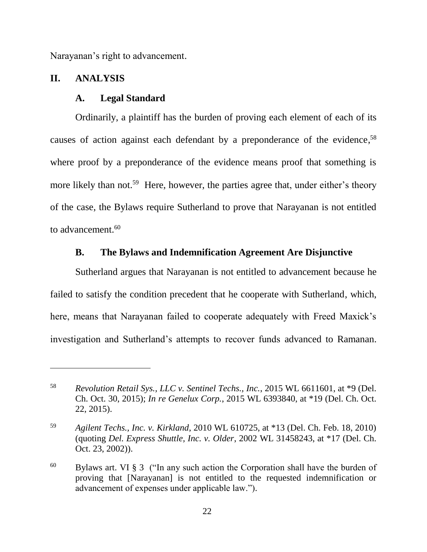Narayanan's right to advancement.

## **II. ANALYSIS**

 $\overline{a}$ 

### **A. Legal Standard**

Ordinarily, a plaintiff has the burden of proving each element of each of its causes of action against each defendant by a preponderance of the evidence, 58 where proof by a preponderance of the evidence means proof that something is more likely than not.<sup>59</sup> Here, however, the parties agree that, under either's theory of the case, the Bylaws require Sutherland to prove that Narayanan is not entitled to advancement.<sup>60</sup>

## **B. The Bylaws and Indemnification Agreement Are Disjunctive**

Sutherland argues that Narayanan is not entitled to advancement because he failed to satisfy the condition precedent that he cooperate with Sutherland, which, here, means that Narayanan failed to cooperate adequately with Freed Maxick's investigation and Sutherland's attempts to recover funds advanced to Ramanan.

<sup>58</sup> *Revolution Retail Sys., LLC v. Sentinel Techs., Inc.*, 2015 WL 6611601, at \*9 (Del. Ch. Oct. 30, 2015); *In re Genelux Corp.*, 2015 WL 6393840, at \*19 (Del. Ch. Oct. 22, 2015).

<sup>59</sup> *Agilent Techs., Inc. v. Kirkland*, 2010 WL 610725, at \*13 (Del. Ch. Feb. 18, 2010) (quoting *Del. Express Shuttle, Inc. v. Older*, 2002 WL 31458243, at \*17 (Del. Ch. Oct. 23, 2002)).

 $60$  Bylaws art. VI § 3 ("In any such action the Corporation shall have the burden of proving that [Narayanan] is not entitled to the requested indemnification or advancement of expenses under applicable law.").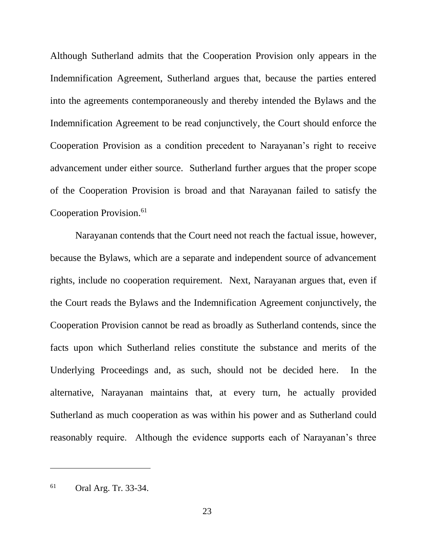Although Sutherland admits that the Cooperation Provision only appears in the Indemnification Agreement, Sutherland argues that, because the parties entered into the agreements contemporaneously and thereby intended the Bylaws and the Indemnification Agreement to be read conjunctively, the Court should enforce the Cooperation Provision as a condition precedent to Narayanan's right to receive advancement under either source. Sutherland further argues that the proper scope of the Cooperation Provision is broad and that Narayanan failed to satisfy the Cooperation Provision.<sup>61</sup>

Narayanan contends that the Court need not reach the factual issue, however, because the Bylaws, which are a separate and independent source of advancement rights, include no cooperation requirement. Next, Narayanan argues that, even if the Court reads the Bylaws and the Indemnification Agreement conjunctively, the Cooperation Provision cannot be read as broadly as Sutherland contends, since the facts upon which Sutherland relies constitute the substance and merits of the Underlying Proceedings and, as such, should not be decided here. In the alternative, Narayanan maintains that, at every turn, he actually provided Sutherland as much cooperation as was within his power and as Sutherland could reasonably require. Although the evidence supports each of Narayanan's three

<sup>61</sup> Oral Arg. Tr. 33-34.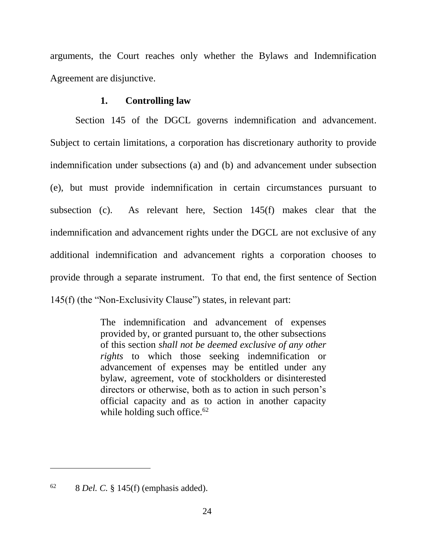arguments, the Court reaches only whether the Bylaws and Indemnification Agreement are disjunctive.

## **1. Controlling law**

Section 145 of the DGCL governs indemnification and advancement. Subject to certain limitations, a corporation has discretionary authority to provide indemnification under subsections (a) and (b) and advancement under subsection (e), but must provide indemnification in certain circumstances pursuant to subsection (c). As relevant here, Section 145(f) makes clear that the indemnification and advancement rights under the DGCL are not exclusive of any additional indemnification and advancement rights a corporation chooses to provide through a separate instrument. To that end, the first sentence of Section 145(f) (the "Non-Exclusivity Clause") states, in relevant part:

> The indemnification and advancement of expenses provided by, or granted pursuant to, the other subsections of this section *shall not be deemed exclusive of any other rights* to which those seeking indemnification or advancement of expenses may be entitled under any bylaw, agreement, vote of stockholders or disinterested directors or otherwise, both as to action in such person's official capacity and as to action in another capacity while holding such office. $62$

 $62$  8 *Del. C.* § 145(f) (emphasis added).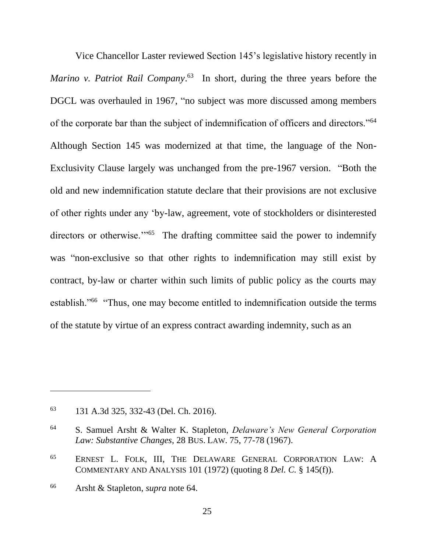<span id="page-25-0"></span>Vice Chancellor Laster reviewed Section 145's legislative history recently in *Marino v. Patriot Rail Company*. <sup>63</sup> In short, during the three years before the DGCL was overhauled in 1967, "no subject was more discussed among members of the corporate bar than the subject of indemnification of officers and directors."<sup>64</sup> Although Section 145 was modernized at that time, the language of the Non-Exclusivity Clause largely was unchanged from the pre-1967 version. "Both the old and new indemnification statute declare that their provisions are not exclusive of other rights under any 'by-law, agreement, vote of stockholders or disinterested directors or otherwise.<sup>"65</sup> The drafting committee said the power to indemnify was "non-exclusive so that other rights to indemnification may still exist by contract, by-law or charter within such limits of public policy as the courts may establish."<sup>66</sup> "Thus, one may become entitled to indemnification outside the terms of the statute by virtue of an express contract awarding indemnity, such as an

<span id="page-25-1"></span><sup>63</sup> 131 A.3d 325, 332-43 (Del. Ch. 2016).

<sup>64</sup> S. Samuel Arsht & Walter K. Stapleton, *Delaware's New General Corporation Law: Substantive Changes*, 28 BUS. LAW. 75, 77-78 (1967).

<sup>65</sup> ERNEST L. FOLK, III, THE DELAWARE GENERAL CORPORATION LAW: A COMMENTARY AND ANALYSIS 101 (1972) (quoting 8 *Del. C.* § 145(f)).

<sup>66</sup> Arsht & Stapleton, *supra* note [64.](#page-25-0)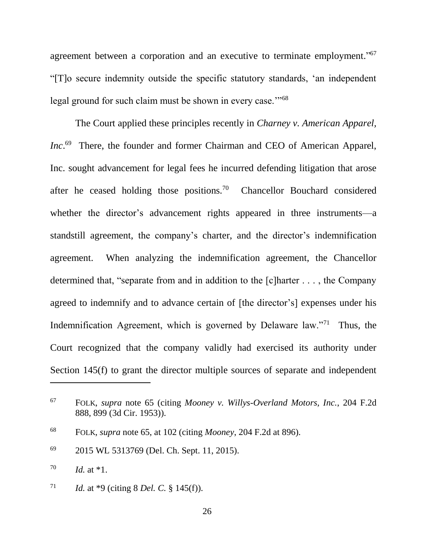agreement between a corporation and an executive to terminate employment."<sup>67</sup> "[T]o secure indemnity outside the specific statutory standards, 'an independent legal ground for such claim must be shown in every case."<sup>68</sup>

The Court applied these principles recently in *Charney v. American Apparel, Inc.*<sup>69</sup> There, the founder and former Chairman and CEO of American Apparel, Inc. sought advancement for legal fees he incurred defending litigation that arose after he ceased holding those positions.<sup>70</sup> Chancellor Bouchard considered whether the director's advancement rights appeared in three instruments—a standstill agreement, the company's charter, and the director's indemnification agreement. When analyzing the indemnification agreement, the Chancellor determined that, "separate from and in addition to the [c]harter . . . , the Company agreed to indemnify and to advance certain of [the director's] expenses under his Indemnification Agreement, which is governed by Delaware law."<sup>71</sup> Thus, the Court recognized that the company validly had exercised its authority under Section 145(f) to grant the director multiple sources of separate and independent

<sup>67</sup> FOLK, *supra* note [65](#page-25-1) (citing *Mooney v. Willys-Overland Motors, Inc.*, 204 F.2d 888, 899 (3d Cir. 1953)).

<sup>68</sup> FOLK, *supra* note [65,](#page-25-1) at 102 (citing *Mooney*, 204 F.2d at 896).

<sup>69</sup> 2015 WL 5313769 (Del. Ch. Sept. 11, 2015).

<sup>70</sup> *Id.* at \*1.

<sup>71</sup> *Id.* at \*9 (citing 8 *Del. C.* § 145(f)).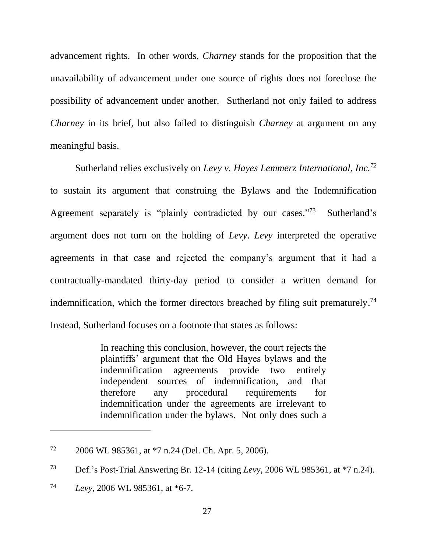advancement rights. In other words, *Charney* stands for the proposition that the unavailability of advancement under one source of rights does not foreclose the possibility of advancement under another. Sutherland not only failed to address *Charney* in its brief, but also failed to distinguish *Charney* at argument on any meaningful basis.

Sutherland relies exclusively on *Levy v. Hayes Lemmerz International, Inc.<sup>72</sup>* to sustain its argument that construing the Bylaws and the Indemnification Agreement separately is "plainly contradicted by our cases."73 Sutherland's argument does not turn on the holding of *Levy*. *Levy* interpreted the operative agreements in that case and rejected the company's argument that it had a contractually-mandated thirty-day period to consider a written demand for indemnification, which the former directors breached by filing suit prematurely. 74 Instead, Sutherland focuses on a footnote that states as follows:

> In reaching this conclusion, however, the court rejects the plaintiffs' argument that the Old Hayes bylaws and the indemnification agreements provide two entirely independent sources of indemnification, and that therefore any procedural requirements for indemnification under the agreements are irrelevant to indemnification under the bylaws. Not only does such a

<sup>72</sup> 2006 WL 985361, at \*7 n.24 (Del. Ch. Apr. 5, 2006).

<sup>73</sup> Def.'s Post-Trial Answering Br. 12-14 (citing *Levy*, 2006 WL 985361, at \*7 n.24).

<sup>74</sup> *Levy*, 2006 WL 985361, at \*6-7.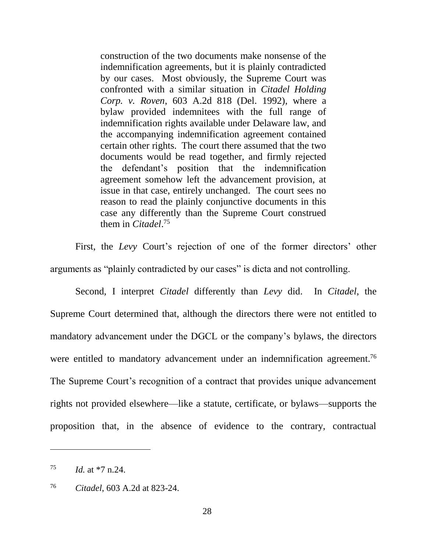construction of the two documents make nonsense of the indemnification agreements, but it is plainly contradicted by our cases. Most obviously, the Supreme Court was confronted with a similar situation in *Citadel Holding Corp. v. Roven*, 603 A.2d 818 (Del. 1992), where a bylaw provided indemnitees with the full range of indemnification rights available under Delaware law, and the accompanying indemnification agreement contained certain other rights. The court there assumed that the two documents would be read together, and firmly rejected the defendant's position that the indemnification agreement somehow left the advancement provision, at issue in that case, entirely unchanged. The court sees no reason to read the plainly conjunctive documents in this case any differently than the Supreme Court construed them in *Citadel*. 75

First, the *Levy* Court's rejection of one of the former directors' other arguments as "plainly contradicted by our cases" is dicta and not controlling.

Second, I interpret *Citadel* differently than *Levy* did. In *Citadel*, the Supreme Court determined that, although the directors there were not entitled to mandatory advancement under the DGCL or the company's bylaws, the directors were entitled to mandatory advancement under an indemnification agreement.<sup>76</sup> The Supreme Court's recognition of a contract that provides unique advancement rights not provided elsewhere—like a statute, certificate, or bylaws—supports the proposition that, in the absence of evidence to the contrary, contractual

<sup>75</sup> *Id.* at \*7 n.24.

<sup>76</sup> *Citadel*, 603 A.2d at 823-24.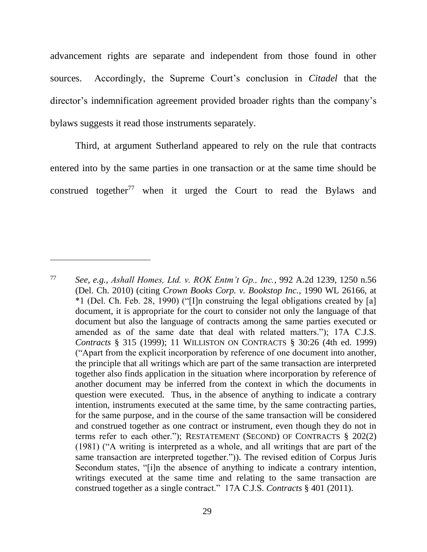advancement rights are separate and independent from those found in other sources. Accordingly, the Supreme Court's conclusion in *Citadel* that the director's indemnification agreement provided broader rights than the company's bylaws suggests it read those instruments separately.

<span id="page-29-0"></span>Third, at argument Sutherland appeared to rely on the rule that contracts entered into by the same parties in one transaction or at the same time should be construed together<sup>77</sup> when it urged the Court to read the Bylaws and

<sup>77</sup> *See, e.g.*, *Ashall Homes, Ltd. v. ROK Entm't Gp., Inc.*, 992 A.2d 1239, 1250 n.56 (Del. Ch. 2010) (citing *Crown Books Corp. v. Bookstop Inc.*, 1990 WL 26166, at \*1 (Del. Ch. Feb. 28, 1990) ("[I]n construing the legal obligations created by [a] document, it is appropriate for the court to consider not only the language of that document but also the language of contracts among the same parties executed or amended as of the same date that deal with related matters."); 17A C.J.S. *Contracts* § 315 (1999); 11 WILLISTON ON CONTRACTS § 30:26 (4th ed. 1999) ("Apart from the explicit incorporation by reference of one document into another, the principle that all writings which are part of the same transaction are interpreted together also finds application in the situation where incorporation by reference of another document may be inferred from the context in which the documents in question were executed. Thus, in the absence of anything to indicate a contrary intention, instruments executed at the same time, by the same contracting parties, for the same purpose, and in the course of the same transaction will be considered and construed together as one contract or instrument, even though they do not in terms refer to each other."); RESTATEMENT (SECOND) OF CONTRACTS § 202(2) (1981) ("A writing is interpreted as a whole, and all writings that are part of the same transaction are interpreted together.")). The revised edition of Corpus Juris Secondum states, "[i]n the absence of anything to indicate a contrary intention, writings executed at the same time and relating to the same transaction are construed together as a single contract." 17A C.J.S. *Contracts* § 401 (2011).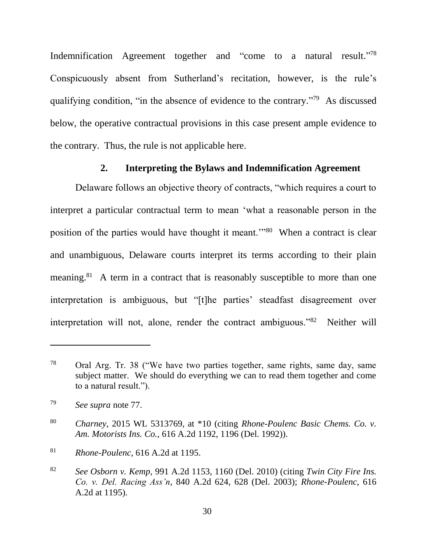Indemnification Agreement together and "come to a natural result."<sup>78</sup> Conspicuously absent from Sutherland's recitation, however, is the rule's qualifying condition, "in the absence of evidence to the contrary."<sup>79</sup> As discussed below, the operative contractual provisions in this case present ample evidence to the contrary. Thus, the rule is not applicable here.

## **2. Interpreting the Bylaws and Indemnification Agreement**

Delaware follows an objective theory of contracts, "which requires a court to interpret a particular contractual term to mean 'what a reasonable person in the position of the parties would have thought it meant."<sup>80</sup> When a contract is clear and unambiguous, Delaware courts interpret its terms according to their plain meaning.<sup>81</sup> A term in a contract that is reasonably susceptible to more than one interpretation is ambiguous, but "[t]he parties' steadfast disagreement over interpretation will not, alone, render the contract ambiguous."<sup>82</sup> Neither will

<sup>78</sup> Oral Arg. Tr. 38 ("We have two parties together, same rights, same day, same subject matter. We should do everything we can to read them together and come to a natural result.").

<sup>79</sup> *See supra* note [77.](#page-29-0)

<sup>80</sup> *Charney*, 2015 WL 5313769, at \*10 (citing *Rhone-Poulenc Basic Chems. Co. v. Am. Motorists Ins. Co.*, 616 A.2d 1192, 1196 (Del. 1992)).

<sup>81</sup> *Rhone-Poulenc*, 616 A.2d at 1195.

<sup>82</sup> *See Osborn v. Kemp*, 991 A.2d 1153, 1160 (Del. 2010) (citing *Twin City Fire Ins. Co. v. Del. Racing Ass'n*, 840 A.2d 624, 628 (Del. 2003); *Rhone-Poulenc*, 616 A.2d at 1195).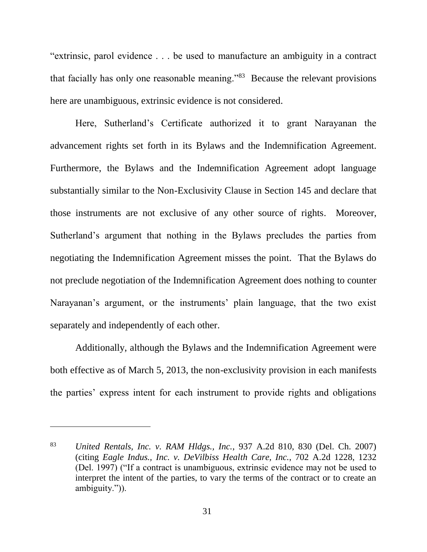"extrinsic, parol evidence . . . be used to manufacture an ambiguity in a contract that facially has only one reasonable meaning."<sup>83</sup> Because the relevant provisions here are unambiguous, extrinsic evidence is not considered.

Here, Sutherland's Certificate authorized it to grant Narayanan the advancement rights set forth in its Bylaws and the Indemnification Agreement. Furthermore, the Bylaws and the Indemnification Agreement adopt language substantially similar to the Non-Exclusivity Clause in Section 145 and declare that those instruments are not exclusive of any other source of rights. Moreover, Sutherland's argument that nothing in the Bylaws precludes the parties from negotiating the Indemnification Agreement misses the point. That the Bylaws do not preclude negotiation of the Indemnification Agreement does nothing to counter Narayanan's argument, or the instruments' plain language, that the two exist separately and independently of each other.

Additionally, although the Bylaws and the Indemnification Agreement were both effective as of March 5, 2013, the non-exclusivity provision in each manifests the parties' express intent for each instrument to provide rights and obligations

<sup>83</sup> *United Rentals, Inc. v. RAM Hldgs., Inc.*, 937 A.2d 810, 830 (Del. Ch. 2007) (citing *Eagle Indus., Inc. v. DeVilbiss Health Care, Inc.*, 702 A.2d 1228, 1232 (Del. 1997) ("If a contract is unambiguous, extrinsic evidence may not be used to interpret the intent of the parties, to vary the terms of the contract or to create an ambiguity.")).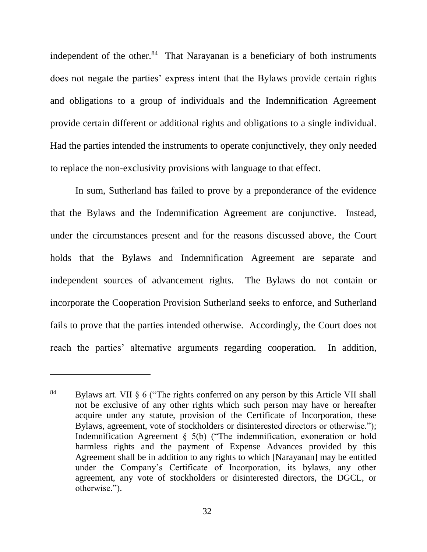independent of the other.<sup>84</sup> That Narayanan is a beneficiary of both instruments does not negate the parties' express intent that the Bylaws provide certain rights and obligations to a group of individuals and the Indemnification Agreement provide certain different or additional rights and obligations to a single individual. Had the parties intended the instruments to operate conjunctively, they only needed to replace the non-exclusivity provisions with language to that effect.

In sum, Sutherland has failed to prove by a preponderance of the evidence that the Bylaws and the Indemnification Agreement are conjunctive. Instead, under the circumstances present and for the reasons discussed above, the Court holds that the Bylaws and Indemnification Agreement are separate and independent sources of advancement rights. The Bylaws do not contain or incorporate the Cooperation Provision Sutherland seeks to enforce, and Sutherland fails to prove that the parties intended otherwise. Accordingly, the Court does not reach the parties' alternative arguments regarding cooperation. In addition,

<sup>84</sup> Bylaws art. VII § 6 ("The rights conferred on any person by this Article VII shall not be exclusive of any other rights which such person may have or hereafter acquire under any statute, provision of the Certificate of Incorporation, these Bylaws, agreement, vote of stockholders or disinterested directors or otherwise."); Indemnification Agreement § 5(b) ("The indemnification, exoneration or hold harmless rights and the payment of Expense Advances provided by this Agreement shall be in addition to any rights to which [Narayanan] may be entitled under the Company's Certificate of Incorporation, its bylaws, any other agreement, any vote of stockholders or disinterested directors, the DGCL, or otherwise.").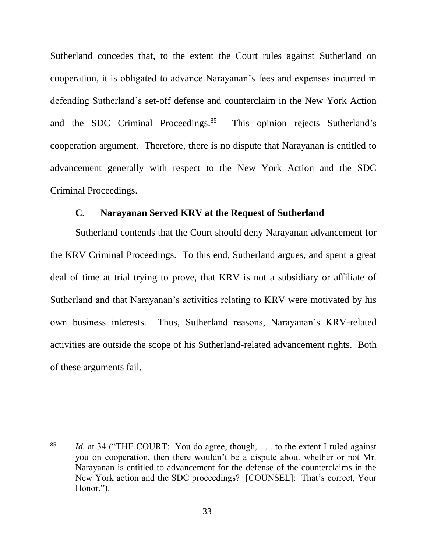Sutherland concedes that, to the extent the Court rules against Sutherland on cooperation, it is obligated to advance Narayanan's fees and expenses incurred in defending Sutherland's set-off defense and counterclaim in the New York Action and the SDC Criminal Proceedings.<sup>85</sup> This opinion rejects Sutherland's cooperation argument. Therefore, there is no dispute that Narayanan is entitled to advancement generally with respect to the New York Action and the SDC Criminal Proceedings.

## **C. Narayanan Served KRV at the Request of Sutherland**

Sutherland contends that the Court should deny Narayanan advancement for the KRV Criminal Proceedings. To this end, Sutherland argues, and spent a great deal of time at trial trying to prove, that KRV is not a subsidiary or affiliate of Sutherland and that Narayanan's activities relating to KRV were motivated by his own business interests. Thus, Sutherland reasons, Narayanan's KRV-related activities are outside the scope of his Sutherland-related advancement rights. Both of these arguments fail.

<sup>85</sup> *Id.* at 34 ("THE COURT: You do agree, though, . . . to the extent I ruled against you on cooperation, then there wouldn't be a dispute about whether or not Mr. Narayanan is entitled to advancement for the defense of the counterclaims in the New York action and the SDC proceedings? [COUNSEL]: That's correct, Your Honor.").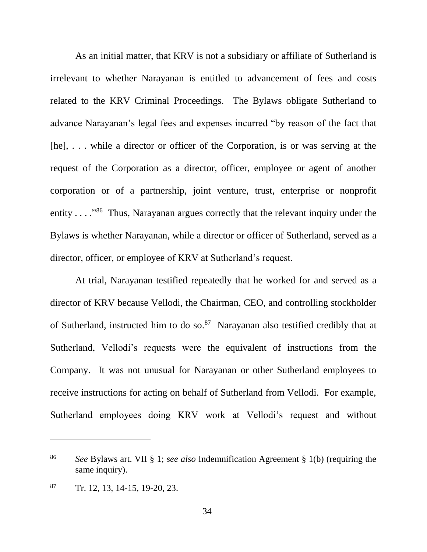As an initial matter, that KRV is not a subsidiary or affiliate of Sutherland is irrelevant to whether Narayanan is entitled to advancement of fees and costs related to the KRV Criminal Proceedings. The Bylaws obligate Sutherland to advance Narayanan's legal fees and expenses incurred "by reason of the fact that [he], ... while a director or officer of the Corporation, is or was serving at the request of the Corporation as a director, officer, employee or agent of another corporation or of a partnership, joint venture, trust, enterprise or nonprofit entity . . . . "<sup>86</sup> Thus, Narayanan argues correctly that the relevant inquiry under the Bylaws is whether Narayanan, while a director or officer of Sutherland, served as a director, officer, or employee of KRV at Sutherland's request.

At trial, Narayanan testified repeatedly that he worked for and served as a director of KRV because Vellodi, the Chairman, CEO, and controlling stockholder of Sutherland, instructed him to do so.<sup>87</sup> Narayanan also testified credibly that at Sutherland, Vellodi's requests were the equivalent of instructions from the Company. It was not unusual for Narayanan or other Sutherland employees to receive instructions for acting on behalf of Sutherland from Vellodi. For example, Sutherland employees doing KRV work at Vellodi's request and without

<sup>86</sup> *See* Bylaws art. VII § 1; *see also* Indemnification Agreement § 1(b) (requiring the same inquiry).

 $87$  Tr. 12, 13, 14-15, 19-20, 23.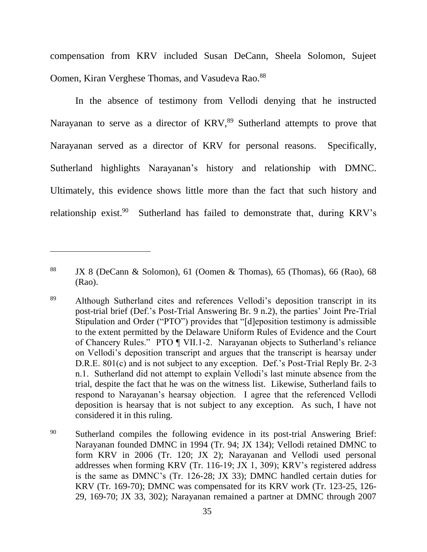compensation from KRV included Susan DeCann, Sheela Solomon, Sujeet Oomen, Kiran Verghese Thomas, and Vasudeva Rao.<sup>88</sup>

In the absence of testimony from Vellodi denying that he instructed Narayanan to serve as a director of KRV,<sup>89</sup> Sutherland attempts to prove that Narayanan served as a director of KRV for personal reasons. Specifically, Sutherland highlights Narayanan's history and relationship with DMNC. Ultimately, this evidence shows little more than the fact that such history and relationship exist.<sup>90</sup> Sutherland has failed to demonstrate that, during KRV's

<sup>88</sup> JX 8 (DeCann & Solomon), 61 (Oomen & Thomas), 65 (Thomas), 66 (Rao), 68 (Rao).

<sup>89</sup> Although Sutherland cites and references Vellodi's deposition transcript in its post-trial brief (Def.'s Post-Trial Answering Br. 9 n.2), the parties' Joint Pre-Trial Stipulation and Order ("PTO") provides that "[d]eposition testimony is admissible to the extent permitted by the Delaware Uniform Rules of Evidence and the Court of Chancery Rules." PTO ¶ VII.1-2. Narayanan objects to Sutherland's reliance on Vellodi's deposition transcript and argues that the transcript is hearsay under D.R.E. 801(c) and is not subject to any exception. Def.'s Post-Trial Reply Br. 2-3 n.1. Sutherland did not attempt to explain Vellodi's last minute absence from the trial, despite the fact that he was on the witness list. Likewise, Sutherland fails to respond to Narayanan's hearsay objection. I agree that the referenced Vellodi deposition is hearsay that is not subject to any exception. As such, I have not considered it in this ruling.

<sup>&</sup>lt;sup>90</sup> Sutherland compiles the following evidence in its post-trial Answering Brief: Narayanan founded DMNC in 1994 (Tr. 94; JX 134); Vellodi retained DMNC to form KRV in 2006 (Tr. 120; JX 2); Narayanan and Vellodi used personal addresses when forming KRV (Tr. 116-19; JX 1, 309); KRV's registered address is the same as DMNC's (Tr. 126-28; JX 33); DMNC handled certain duties for KRV (Tr. 169-70); DMNC was compensated for its KRV work (Tr. 123-25, 126- 29, 169-70; JX 33, 302); Narayanan remained a partner at DMNC through 2007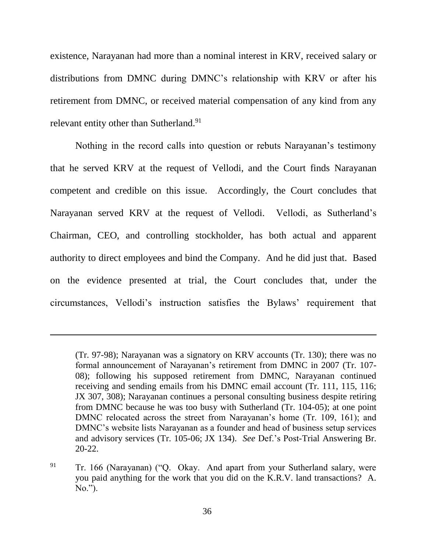existence, Narayanan had more than a nominal interest in KRV, received salary or distributions from DMNC during DMNC's relationship with KRV or after his retirement from DMNC, or received material compensation of any kind from any relevant entity other than Sutherland.<sup>91</sup>

Nothing in the record calls into question or rebuts Narayanan's testimony that he served KRV at the request of Vellodi, and the Court finds Narayanan competent and credible on this issue. Accordingly, the Court concludes that Narayanan served KRV at the request of Vellodi. Vellodi, as Sutherland's Chairman, CEO, and controlling stockholder, has both actual and apparent authority to direct employees and bind the Company. And he did just that. Based on the evidence presented at trial, the Court concludes that, under the circumstances, Vellodi's instruction satisfies the Bylaws' requirement that

<sup>(</sup>Tr. 97-98); Narayanan was a signatory on KRV accounts (Tr. 130); there was no formal announcement of Narayanan's retirement from DMNC in 2007 (Tr. 107- 08); following his supposed retirement from DMNC, Narayanan continued receiving and sending emails from his DMNC email account (Tr. 111, 115, 116; JX 307, 308); Narayanan continues a personal consulting business despite retiring from DMNC because he was too busy with Sutherland (Tr. 104-05); at one point DMNC relocated across the street from Narayanan's home (Tr. 109, 161); and DMNC's website lists Narayanan as a founder and head of business setup services and advisory services (Tr. 105-06; JX 134). *See* Def.'s Post-Trial Answering Br. 20-22.

<sup>&</sup>lt;sup>91</sup> Tr. 166 (Narayanan) ("Q. Okay. And apart from your Sutherland salary, were you paid anything for the work that you did on the K.R.V. land transactions? A. No.").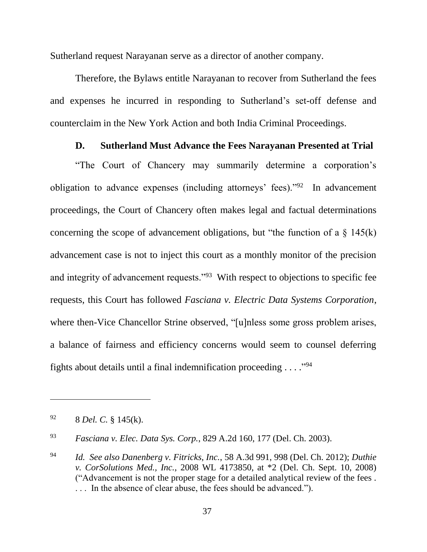Sutherland request Narayanan serve as a director of another company.

Therefore, the Bylaws entitle Narayanan to recover from Sutherland the fees and expenses he incurred in responding to Sutherland's set-off defense and counterclaim in the New York Action and both India Criminal Proceedings.

### **D. Sutherland Must Advance the Fees Narayanan Presented at Trial**

"The Court of Chancery may summarily determine a corporation's obligation to advance expenses (including attorneys' fees)."<sup>92</sup> In advancement proceedings, the Court of Chancery often makes legal and factual determinations concerning the scope of advancement obligations, but "the function of a  $\S$  145(k) advancement case is not to inject this court as a monthly monitor of the precision and integrity of advancement requests."<sup>93</sup> With respect to objections to specific fee requests, this Court has followed *Fasciana v. Electric Data Systems Corporation*, where then-Vice Chancellor Strine observed, "[u]nless some gross problem arises, a balance of fairness and efficiency concerns would seem to counsel deferring fights about details until a final indemnification proceeding  $\dots$ ."<sup>94</sup>

<sup>92</sup> 8 *Del. C.* § 145(k).

<sup>93</sup> *Fasciana v. Elec. Data Sys. Corp.*, 829 A.2d 160, 177 (Del. Ch. 2003).

<sup>94</sup> *Id. See also Danenberg v. Fitricks, Inc.*, 58 A.3d 991, 998 (Del. Ch. 2012); *Duthie v. CorSolutions Med., Inc.*, 2008 WL 4173850, at \*2 (Del. Ch. Sept. 10, 2008) ("Advancement is not the proper stage for a detailed analytical review of the fees . . . . In the absence of clear abuse, the fees should be advanced.").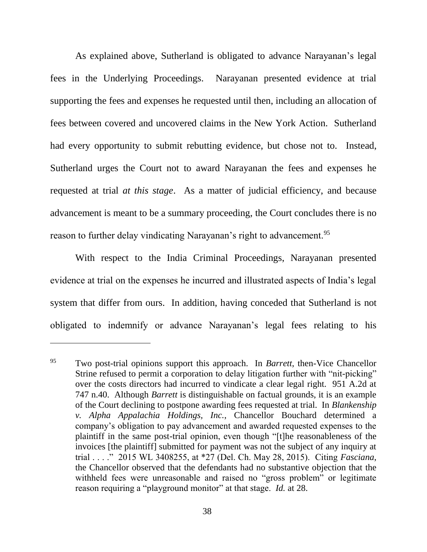As explained above, Sutherland is obligated to advance Narayanan's legal fees in the Underlying Proceedings. Narayanan presented evidence at trial supporting the fees and expenses he requested until then, including an allocation of fees between covered and uncovered claims in the New York Action. Sutherland had every opportunity to submit rebutting evidence, but chose not to. Instead, Sutherland urges the Court not to award Narayanan the fees and expenses he requested at trial *at this stage*. As a matter of judicial efficiency, and because advancement is meant to be a summary proceeding, the Court concludes there is no reason to further delay vindicating Narayanan's right to advancement.<sup>95</sup>

With respect to the India Criminal Proceedings, Narayanan presented evidence at trial on the expenses he incurred and illustrated aspects of India's legal system that differ from ours. In addition, having conceded that Sutherland is not obligated to indemnify or advance Narayanan's legal fees relating to his

<sup>95</sup> Two post-trial opinions support this approach. In *Barrett*, then-Vice Chancellor Strine refused to permit a corporation to delay litigation further with "nit-picking" over the costs directors had incurred to vindicate a clear legal right. 951 A.2d at 747 n.40. Although *Barrett* is distinguishable on factual grounds, it is an example of the Court declining to postpone awarding fees requested at trial. In *Blankenship v. Alpha Appalachia Holdings, Inc.*, Chancellor Bouchard determined a company's obligation to pay advancement and awarded requested expenses to the plaintiff in the same post-trial opinion, even though "[t]he reasonableness of the invoices [the plaintiff] submitted for payment was not the subject of any inquiry at trial . . . ." 2015 WL 3408255, at \*27 (Del. Ch. May 28, 2015). Citing *Fasciana*, the Chancellor observed that the defendants had no substantive objection that the withheld fees were unreasonable and raised no "gross problem" or legitimate reason requiring a "playground monitor" at that stage. *Id.* at 28.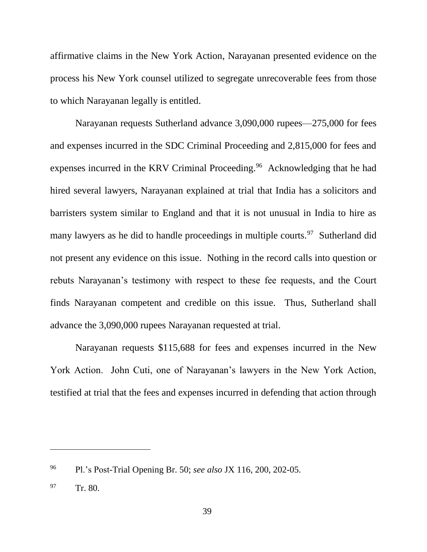affirmative claims in the New York Action, Narayanan presented evidence on the process his New York counsel utilized to segregate unrecoverable fees from those to which Narayanan legally is entitled.

Narayanan requests Sutherland advance 3,090,000 rupees—275,000 for fees and expenses incurred in the SDC Criminal Proceeding and 2,815,000 for fees and expenses incurred in the KRV Criminal Proceeding.<sup>96</sup> Acknowledging that he had hired several lawyers, Narayanan explained at trial that India has a solicitors and barristers system similar to England and that it is not unusual in India to hire as many lawyers as he did to handle proceedings in multiple courts.<sup>97</sup> Sutherland did not present any evidence on this issue. Nothing in the record calls into question or rebuts Narayanan's testimony with respect to these fee requests, and the Court finds Narayanan competent and credible on this issue. Thus, Sutherland shall advance the 3,090,000 rupees Narayanan requested at trial.

Narayanan requests \$115,688 for fees and expenses incurred in the New York Action. John Cuti, one of Narayanan's lawyers in the New York Action, testified at trial that the fees and expenses incurred in defending that action through

<sup>96</sup> Pl.'s Post-Trial Opening Br. 50; *see also* JX 116, 200, 202-05.

<sup>97</sup> Tr. 80.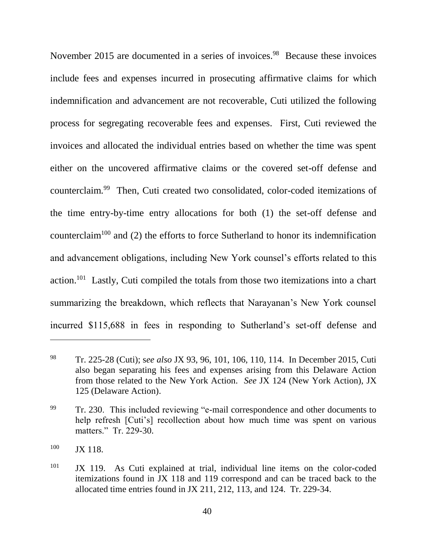<span id="page-40-0"></span>November 2015 are documented in a series of invoices.<sup>98</sup> Because these invoices include fees and expenses incurred in prosecuting affirmative claims for which indemnification and advancement are not recoverable, Cuti utilized the following process for segregating recoverable fees and expenses. First, Cuti reviewed the invoices and allocated the individual entries based on whether the time was spent either on the uncovered affirmative claims or the covered set-off defense and counterclaim.<sup>99</sup> Then, Cuti created two consolidated, color-coded itemizations of the time entry-by-time entry allocations for both (1) the set-off defense and counterclaim<sup>100</sup> and (2) the efforts to force Sutherland to honor its indemnification and advancement obligations, including New York counsel's efforts related to this action.<sup>101</sup> Lastly, Cuti compiled the totals from those two itemizations into a chart summarizing the breakdown, which reflects that Narayanan's New York counsel incurred \$115,688 in fees in responding to Sutherland's set-off defense and

<sup>98</sup> Tr. 225-28 (Cuti); s*ee also* JX 93, 96, 101, 106, 110, 114. In December 2015, Cuti also began separating his fees and expenses arising from this Delaware Action from those related to the New York Action. *See* JX 124 (New York Action), JX 125 (Delaware Action).

<sup>&</sup>lt;sup>99</sup> Tr. 230. This included reviewing "e-mail correspondence and other documents to help refresh [Cuti's] recollection about how much time was spent on various matters." Tr. 229-30.

<sup>100</sup> **JX 118** 

 $101$  JX 119. As Cuti explained at trial, individual line items on the color-coded itemizations found in JX 118 and 119 correspond and can be traced back to the allocated time entries found in JX 211, 212, 113, and 124. Tr. 229-34.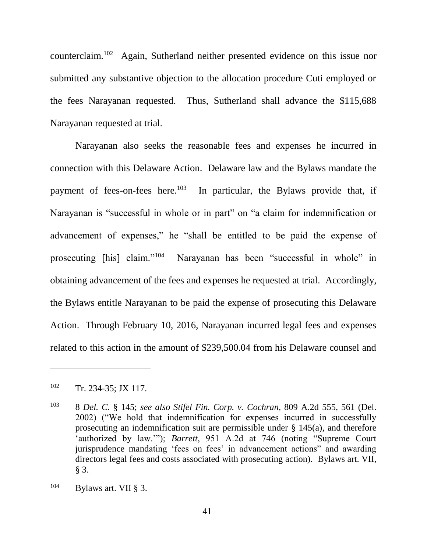<span id="page-41-0"></span>counterclaim.<sup>102</sup> Again, Sutherland neither presented evidence on this issue nor submitted any substantive objection to the allocation procedure Cuti employed or the fees Narayanan requested. Thus, Sutherland shall advance the \$115,688 Narayanan requested at trial.

Narayanan also seeks the reasonable fees and expenses he incurred in connection with this Delaware Action. Delaware law and the Bylaws mandate the payment of fees-on-fees here.<sup>103</sup> In particular, the Bylaws provide that, if Narayanan is "successful in whole or in part" on "a claim for indemnification or advancement of expenses," he "shall be entitled to be paid the expense of prosecuting [his] claim."<sup>104</sup> Narayanan has been "successful in whole" in obtaining advancement of the fees and expenses he requested at trial. Accordingly, the Bylaws entitle Narayanan to be paid the expense of prosecuting this Delaware Action. Through February 10, 2016, Narayanan incurred legal fees and expenses related to this action in the amount of \$239,500.04 from his Delaware counsel and

<sup>102</sup> Tr. 234-35; JX 117.

<sup>103</sup> 8 *Del. C.* § 145; *see also Stifel Fin. Corp. v. Cochran*, 809 A.2d 555, 561 (Del. 2002) ("We hold that indemnification for expenses incurred in successfully prosecuting an indemnification suit are permissible under § 145(a), and therefore 'authorized by law.'"); *Barrett*, 951 A.2d at 746 (noting "Supreme Court jurisprudence mandating 'fees on fees' in advancement actions" and awarding directors legal fees and costs associated with prosecuting action). Bylaws art. VII, § 3.

 $^{104}$  Bylaws art. VII § 3.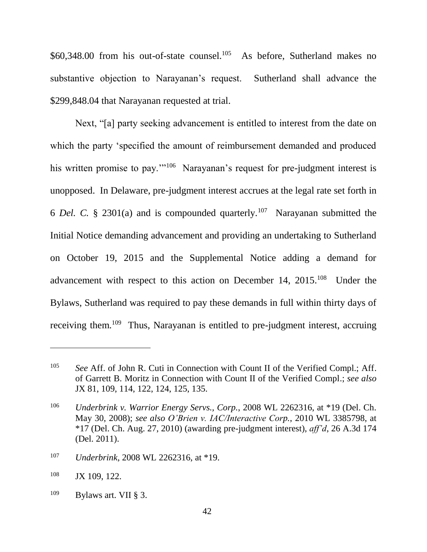\$60,348.00 from his out-of-state counsel.<sup>105</sup> As before, Sutherland makes no substantive objection to Narayanan's request. Sutherland shall advance the \$299,848.04 that Narayanan requested at trial.

Next, "[a] party seeking advancement is entitled to interest from the date on which the party 'specified the amount of reimbursement demanded and produced his written promise to pay."<sup>106</sup> Narayanan's request for pre-judgment interest is unopposed. In Delaware, pre-judgment interest accrues at the legal rate set forth in 6 *Del.* C. § 2301(a) and is compounded quarterly.<sup>107</sup> Narayanan submitted the Initial Notice demanding advancement and providing an undertaking to Sutherland on October 19, 2015 and the Supplemental Notice adding a demand for advancement with respect to this action on December 14,  $2015$ .<sup>108</sup> Under the Bylaws, Sutherland was required to pay these demands in full within thirty days of receiving them.<sup>109</sup> Thus, Narayanan is entitled to pre-judgment interest, accruing

<sup>105</sup> *See* Aff. of John R. Cuti in Connection with Count II of the Verified Compl.; Aff. of Garrett B. Moritz in Connection with Count II of the Verified Compl.; *see also* JX 81, 109, 114, 122, 124, 125, 135.

<sup>106</sup> *Underbrink v. Warrior Energy Servs., Corp.*, 2008 WL 2262316, at \*19 (Del. Ch. May 30, 2008); *see also O'Brien v. IAC/Interactive Corp.*, 2010 WL 3385798, at \*17 (Del. Ch. Aug. 27, 2010) (awarding pre-judgment interest), *aff'd*, 26 A.3d 174 (Del. 2011).

<sup>107</sup> *Underbrink*, 2008 WL 2262316, at \*19.

<sup>108</sup> JX 109, 122.

 $109$  Bylaws art. VII § 3.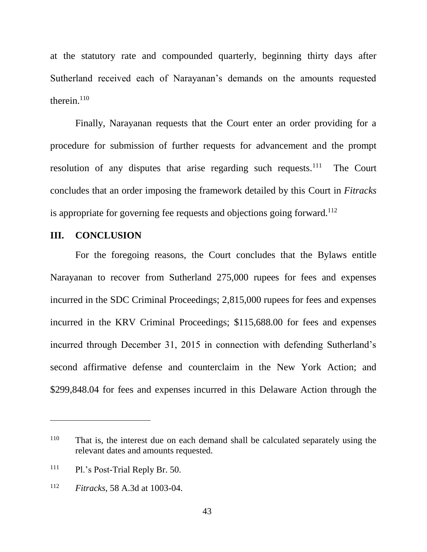at the statutory rate and compounded quarterly, beginning thirty days after Sutherland received each of Narayanan's demands on the amounts requested therein. $110$ 

Finally, Narayanan requests that the Court enter an order providing for a procedure for submission of further requests for advancement and the prompt resolution of any disputes that arise regarding such requests.<sup>111</sup> The Court concludes that an order imposing the framework detailed by this Court in *Fitracks* is appropriate for governing fee requests and objections going forward.<sup>112</sup>

## **III. CONCLUSION**

For the foregoing reasons, the Court concludes that the Bylaws entitle Narayanan to recover from Sutherland 275,000 rupees for fees and expenses incurred in the SDC Criminal Proceedings; 2,815,000 rupees for fees and expenses incurred in the KRV Criminal Proceedings; \$115,688.00 for fees and expenses incurred through December 31, 2015 in connection with defending Sutherland's second affirmative defense and counterclaim in the New York Action; and \$299,848.04 for fees and expenses incurred in this Delaware Action through the

<sup>&</sup>lt;sup>110</sup> That is, the interest due on each demand shall be calculated separately using the relevant dates and amounts requested.

<sup>111</sup> Pl.'s Post-Trial Reply Br. 50.

<sup>112</sup> *Fitracks*, 58 A.3d at 1003-04.